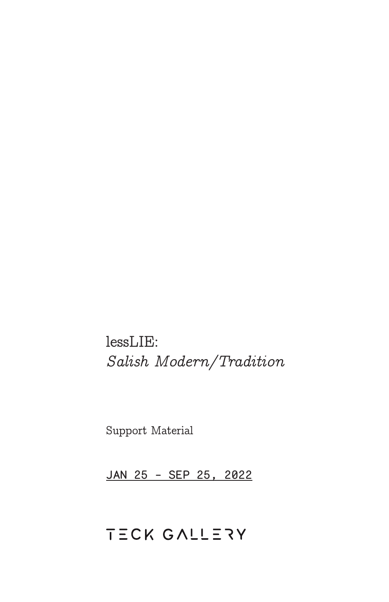lessLIE: *Salish Modern/Tradition*

Support Material

JAN 25 - SEP 25, 2022

# TECK GALLERY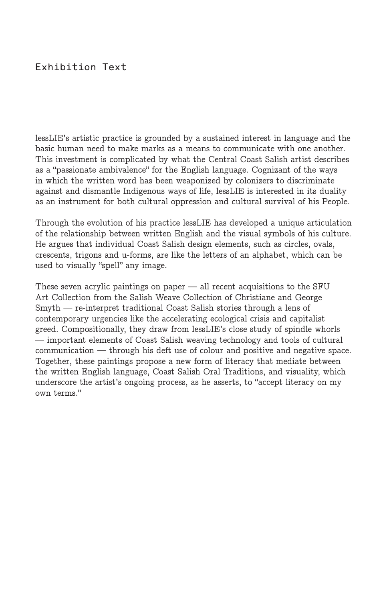### Exhibition Text

lessLIE's artistic practice is grounded by a sustained interest in language and the basic human need to make marks as a means to communicate with one another. This investment is complicated by what the Central Coast Salish artist describes as a "passionate ambivalence" for the English language. Cognizant of the ways in which the written word has been weaponized by colonizers to discriminate against and dismantle Indigenous ways of life, lessLIE is interested in its duality as an instrument for both cultural oppression and cultural survival of his People.

Through the evolution of his practice lessLIE has developed a unique articulation of the relationship between written English and the visual symbols of his culture. He argues that individual Coast Salish design elements, such as circles, ovals, crescents, trigons and u-forms, are like the letters of an alphabet, which can be used to visually "spell" any image.

These seven acrylic paintings on paper — all recent acquisitions to the SFU Art Collection from the Salish Weave Collection of Christiane and George Smyth — re-interpret traditional Coast Salish stories through a lens of contemporary urgencies like the accelerating ecological crisis and capitalist greed. Compositionally, they draw from lessLIE's close study of spindle whorls — important elements of Coast Salish weaving technology and tools of cultural communication — through his deft use of colour and positive and negative space. Together, these paintings propose a new form of literacy that mediate between the written English language, Coast Salish Oral Traditions, and visuality, which underscore the artist's ongoing process, as he asserts, to "accept literacy on my own terms."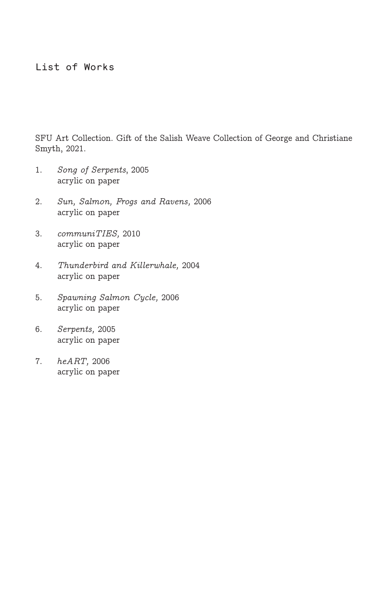#### List of Works

SFU Art Collection. Gift of the Salish Weave Collection of George and Christiane Smyth, 2021.

- 1. *Song of Serpents*, 2005 acrylic on paper
- 2. *Sun, Salmon, Frogs and Ravens,* 2006 acrylic on paper
- 3. *communiTIES,* 2010 acrylic on paper
- 4. *Thunderbird and Killerwhale,* 2004 acrylic on paper
- 5. *Spawning Salmon Cycle,* 2006 acrylic on paper
- 6. *Serpents,* 2005 acrylic on paper
- 7. *heART,* 2006 acrylic on paper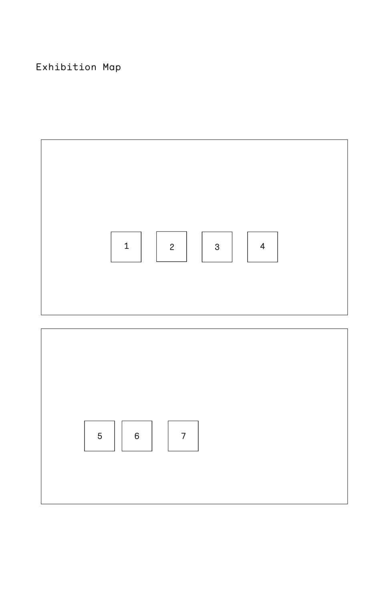## Exhibition Map



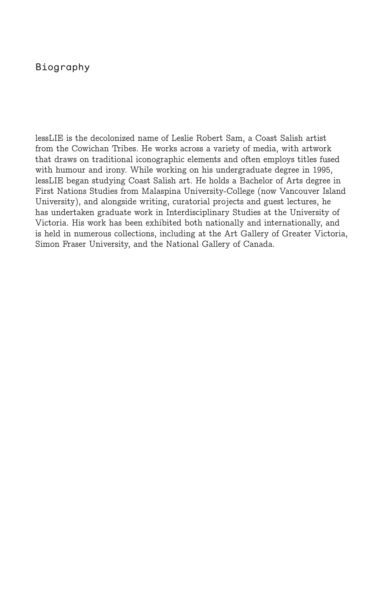#### Biography

lessLIE is the decolonized name of Leslie Robert Sam, a Coast Salish artist from the Cowichan Tribes. He works across a variety of media, with artwork that draws on traditional iconographic elements and often employs titles fused with humour and irony. While working on his undergraduate degree in 1995, lessLIE began studying Coast Salish art. He holds a Bachelor of Arts degree in First Nations Studies from Malaspina University-College (now Vancouver Island University), and alongside writing, curatorial projects and guest lectures, he has undertaken graduate work in Interdisciplinary Studies at the University of Victoria. His work has been exhibited both nationally and internationally, and is held in numerous collections, including at the Art Gallery of Greater Victoria, Simon Fraser University, and the National Gallery of Canada.